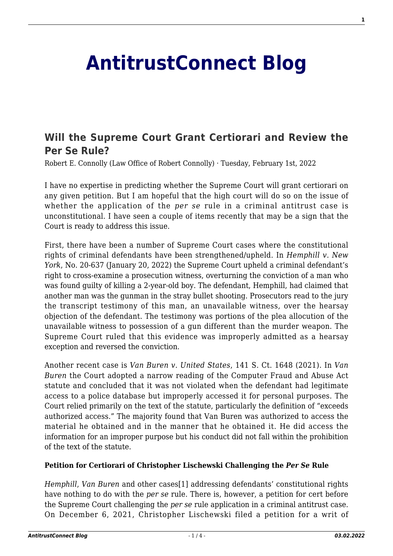## **[AntitrustConnect Blog](http://antitrustconnect.com/)**

## **[Will the Supreme Court Grant Certiorari and Review the](http://antitrustconnect.com/2022/02/01/will-the-supreme-court-grant-certiorari-and-review-the-per-se-rule/) [Per Se Rule?](http://antitrustconnect.com/2022/02/01/will-the-supreme-court-grant-certiorari-and-review-the-per-se-rule/)**

Robert E. Connolly (Law Office of Robert Connolly) · Tuesday, February 1st, 2022

I have no expertise in predicting whether the Supreme Court will grant certiorari on any given petition. But I am hopeful that the high court will do so on the issue of whether the application of the *per se* rule in a criminal antitrust case is unconstitutional. I have seen a couple of items recently that may be a sign that the Court is ready to address this issue.

First, there have been a number of Supreme Court cases where the constitutional rights of criminal defendants have been strengthened/upheld. In *Hemphill v. New York*, No. 20-637 (January 20, 2022) the Supreme Court upheld a criminal defendant's right to cross-examine a prosecution witness, overturning the conviction of a man who was found guilty of killing a 2-year-old boy. The defendant, Hemphill, had claimed that another man was the gunman in the stray bullet shooting. Prosecutors read to the jury the transcript testimony of this man, an unavailable witness, over the hearsay objection of the defendant. The testimony was portions of the plea allocution of the unavailable witness to possession of a gun different than the murder weapon. The Supreme Court ruled that this evidence was improperly admitted as a hearsay exception and reversed the conviction.

Another recent case is *Van Buren v. United States*, 141 S. Ct. 1648 (2021). In *Van Buren* the Court adopted a narrow reading of the Computer Fraud and Abuse Act statute and concluded that it was not violated when the defendant had legitimate access to a police database but improperly accessed it for personal purposes. The Court relied primarily on the text of the statute, particularly the definition of "exceeds authorized access." The majority found that Van Buren was authorized to access the material he obtained and in the manner that he obtained it. He did access the information for an improper purpose but his conduct did not fall within the prohibition of the text of the statute.

## **Petition for Certiorari of Christopher Lischewski Challenging the** *Per Se* **Rule**

*Hemphill*, *Van Buren* and other cases[1] addressing defendants' constitutional rights have nothing to do with the *per se* rule. There is, however, a petition for cert before the Supreme Court challenging the *per se* rule application in a criminal antitrust case. On December 6, 2021, Christopher Lischewski filed a petition for a writ of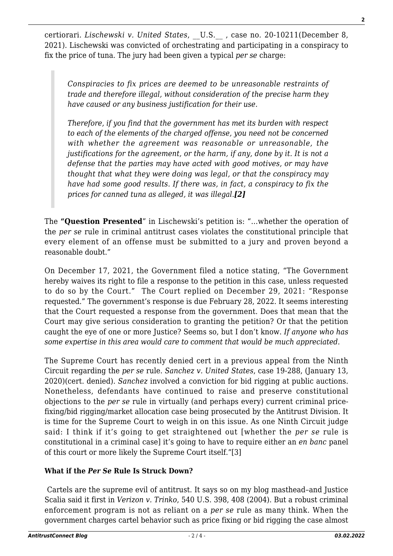certiorari. *Lischewski v. United States*, \_\_U.S.\_\_ , case no. 20-10211(December 8, 2021). Lischewski was convicted of orchestrating and participating in a conspiracy to fix the price of tuna. The jury had been given a typical *per se* charge:

*Conspiracies to fix prices are deemed to be unreasonable restraints of trade and therefore illegal, without consideration of the precise harm they have caused or any business justification for their use.*

*Therefore, if you find that the government has met its burden with respect to each of the elements of the charged offense, you need not be concerned with whether the agreement was reasonable or unreasonable, the justifications for the agreement, or the harm, if any, done by it. It is not a defense that the parties may have acted with good motives, or may have thought that what they were doing was legal, or that the conspiracy may have had some good results. If there was, in fact, a conspiracy to fix the prices for canned tuna as alleged, it was illegal.[2]*

The **"Question Presented**" in Lischewski's petition is: "…whether the operation of the *per se* rule in criminal antitrust cases violates the constitutional principle that every element of an offense must be submitted to a jury and proven beyond a reasonable doubt."

On December 17, 2021, the Government filed a notice stating, "The Government hereby waives its right to file a response to the petition in this case, unless requested to do so by the Court." The Court replied on December 29, 2021: "Response requested." The government's response is due February 28, 2022. It seems interesting that the Court requested a response from the government. Does that mean that the Court may give serious consideration to granting the petition? Or that the petition caught the eye of one or more Justice? Seems so, but I don't know. *If anyone who has some expertise in this area would care to comment that would be much appreciated.* 

The Supreme Court has recently denied cert in a previous appeal from the Ninth Circuit regarding the *per se* rule. *Sanchez v. United States*, case 19-288, (January 13, 2020)(cert. denied). *Sanchez* involved a conviction for bid rigging at public auctions. Nonetheless, defendants have continued to raise and preserve constitutional objections to the *per se* rule in virtually (and perhaps every) current criminal pricefixing/bid rigging/market allocation case being prosecuted by the Antitrust Division. It is time for the Supreme Court to weigh in on this issue. As one Ninth Circuit judge said: I think if it's going to get straightened out [whether the *per se* rule is constitutional in a criminal case] it's going to have to require either an *en banc* panel of this court or more likely the Supreme Court itself."[3]

## **What if the** *Per Se* **Rule Is Struck Down?**

Cartels are the supreme evil of antitrust. It says so on my blog masthead–and Justice Scalia said it first in *Verizon v. Trinko*, 540 U.S. 398, 408 (2004). But a robust criminal enforcement program is not as reliant on a *per se* rule as many think. When the government charges cartel behavior such as price fixing or bid rigging the case almost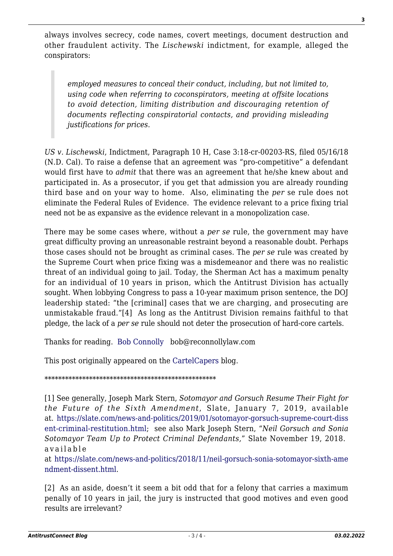always involves secrecy, code names, covert meetings, document destruction and other fraudulent activity. The *Lischewski* indictment, for example, alleged the conspirators:

*employed measures to conceal their conduct, including, but not limited to, using code when referring to coconspirators, meeting at offsite locations to avoid detection, limiting distribution and discouraging retention of documents reflecting conspiratorial contacts, and providing misleading justifications for prices*.

*US v. Lischewski*, Indictment, Paragraph 10 H, Case 3:18-cr-00203-RS, filed 05/16/18 (N.D. Cal). To raise a defense that an agreement was "pro-competitive" a defendant would first have to *admit* that there was an agreement that he/she knew about and participated in. As a prosecutor, if you get that admission you are already rounding third base and on your way to home. Also, eliminating the *per* se rule does not eliminate the Federal Rules of Evidence. The evidence relevant to a price fixing trial need not be as expansive as the evidence relevant in a monopolization case.

There may be some cases where, without a *per se* rule, the government may have great difficulty proving an unreasonable restraint beyond a reasonable doubt. Perhaps those cases should not be brought as criminal cases. The *per se* rule was created by the Supreme Court when price fixing was a misdemeanor and there was no realistic threat of an individual going to jail. Today, the Sherman Act has a maximum penalty for an individual of 10 years in prison, which the Antitrust Division has actually sought. When lobbying Congress to pass a 10-year maximum prison sentence, the DOJ leadership stated: "the [criminal] cases that we are charging, and prosecuting are unmistakable fraud."[4] As long as the Antitrust Division remains faithful to that pledge, the lack of a *per se* rule should not deter the prosecution of hard-core cartels.

Thanks for reading. [Bob Connolly](https://www.linkedin.com/in/robert-connolly-64167116/) bob@reconnollylaw.com

This post originally appeared on the [CartelCapers](https://cartelcapers.com/blog/will-the-supreme-court-grant-certiorari-and-review-the-per-se-rule/) blog.

\*\*\*\*\*\*\*\*\*\*\*\*\*\*\*\*\*\*\*\*\*\*\*\*\*\*\*\*\*\*\*\*\*\*\*\*\*\*\*\*\*\*\*\*\*\*\*\*\*\*

[1] See generally, Joseph Mark Stern, *Sotomayor and Gorsuch Resume Their Fight for the Future of the Sixth Amendment*, Slate, January 7, 2019, available at. [https://slate.com/news-and-politics/2019/01/sotomayor-gorsuch-supreme-court-diss](https://slate.com/news-and-politics/2019/01/sotomayor-gorsuch-supreme-court-dissent-criminal-restitution.html) [ent-criminal-restitution.html](https://slate.com/news-and-politics/2019/01/sotomayor-gorsuch-supreme-court-dissent-criminal-restitution.html); see also Mark Joseph Stern, "*Neil Gorsuch and Sonia Sotomayor Team Up to Protect Criminal Defendants,*" Slate November 19, 2018. available

at [https://slate.com/news-and-politics/2018/11/neil-gorsuch-sonia-sotomayor-sixth-ame](https://slate.com/news-and-politics/2018/11/neil-gorsuch-sonia-sotomayor-sixth-amendment-dissent.html) [ndment-dissent.html](https://slate.com/news-and-politics/2018/11/neil-gorsuch-sonia-sotomayor-sixth-amendment-dissent.html).

[2] As an aside, doesn't it seem a bit odd that for a felony that carries a maximum penally of 10 years in jail, the jury is instructed that good motives and even good results are irrelevant?